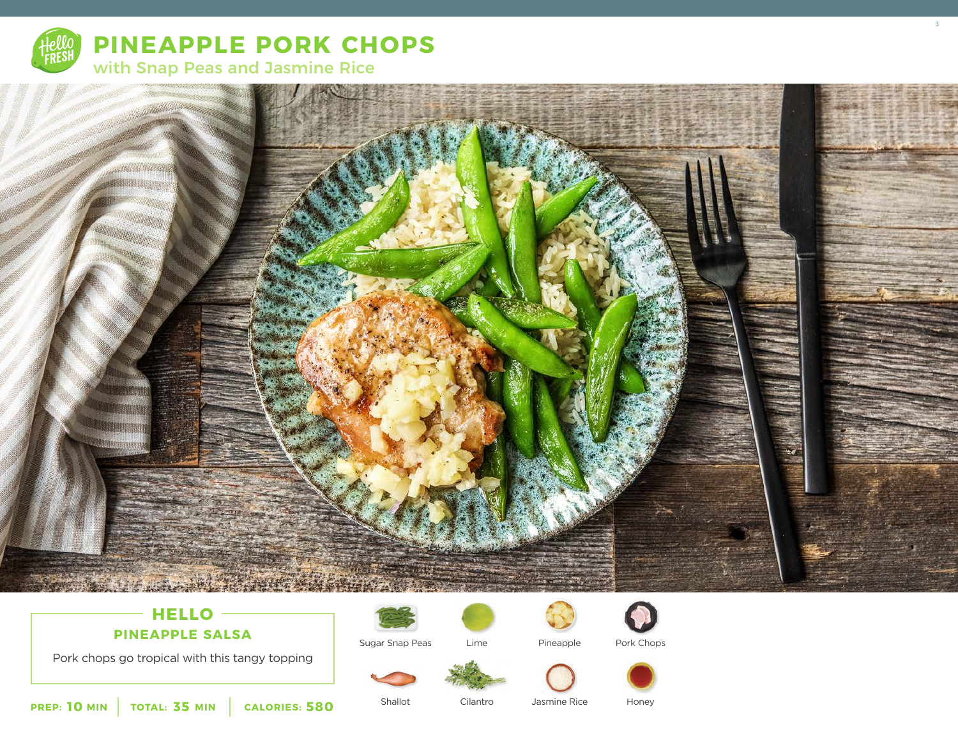

**PINEAPPLE PORK CHOPS**



## $-$  **HELLO**  $-$ **PINEAPPLE SALSA**

Pork chops go tropical with this tangy topping







Pineapple

Jasmine Rice







3

**10** MIN | TOTAL: 35 MIN | CALORIES: 580

Shallot

Sugar Snap Peas

Cilantro

Honey